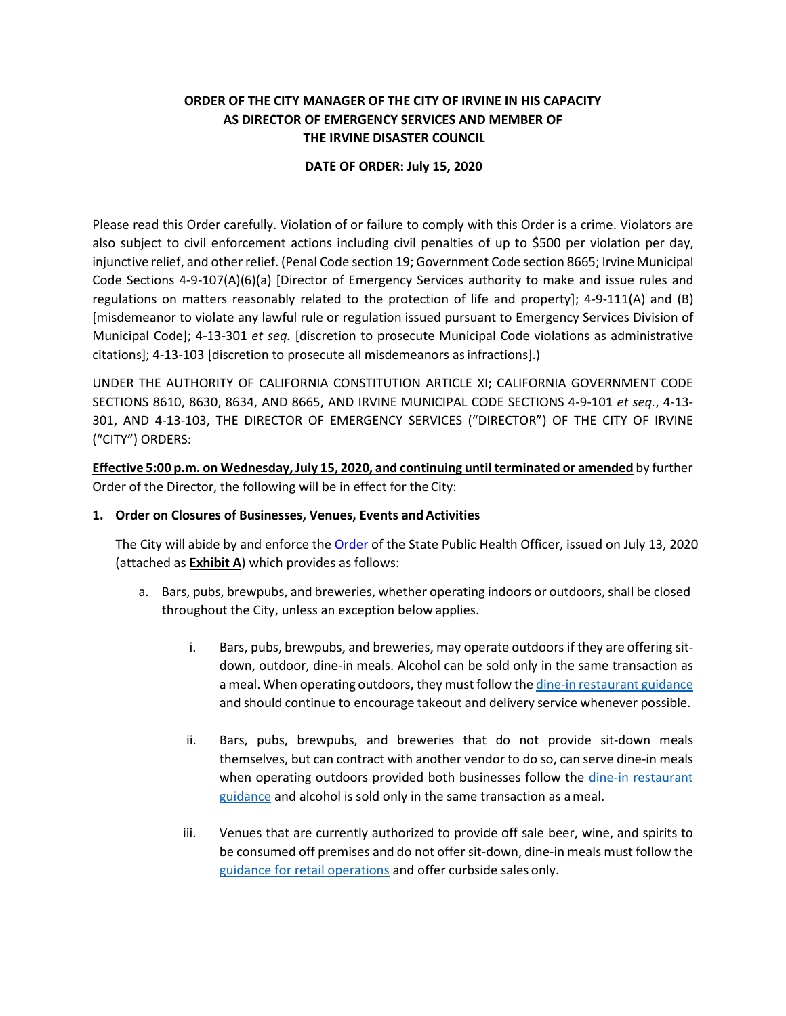# **ORDER OF THE CITY MANAGER OF THE CITY OF IRVINE IN HIS CAPACITY AS DIRECTOR OF EMERGENCY SERVICES AND MEMBER OF THE IRVINE DISASTER COUNCIL**

### **DATE OF ORDER: July 15, 2020**

Please read this Order carefully. Violation of or failure to comply with this Order is a crime. Violators are also subject to civil enforcement actions including civil penalties of up to \$500 per violation per day, injunctive relief, and other relief. (Penal Code section 19; Government Code section 8665; Irvine Municipal Code Sections 4-9-107(A)(6)(a) [Director of Emergency Services authority to make and issue rules and regulations on matters reasonably related to the protection of life and property]; 4-9-111(A) and (B) [misdemeanor to violate any lawful rule or regulation issued pursuant to Emergency Services Division of Municipal Code]; 4-13-301 *et seq.* [discretion to prosecute Municipal Code violations as administrative citations]; 4-13-103 [discretion to prosecute all misdemeanors asinfractions].)

UNDER THE AUTHORITY OF CALIFORNIA CONSTITUTION ARTICLE XI; CALIFORNIA GOVERNMENT CODE SECTIONS 8610, 8630, 8634, AND 8665, AND IRVINE MUNICIPAL CODE SECTIONS 4-9-101 *et seq.*, 4-13- 301, AND 4-13-103, THE DIRECTOR OF EMERGENCY SERVICES ("DIRECTOR") OF THE CITY OF IRVINE ("CITY") ORDERS:

**Effective 5:00 p.m. on Wednesday,July 15, 2020, and continuing until terminated or amended** by further Order of the Director, the following will be in effect for the City:

### 1. **Order on Closures of Businesses, Venues, Events and Activities**

The City will abide by and enforce th[e Order](https://www.cdph.ca.gov/Programs/CID/DCDC/CDPH%20Document%20Library/COVID-19/SHO%20Order%20Dimming%20Entire%20State%207-13-2020.pdf) of the State Public Health Officer, issued on July 13, 2020 (attached as **Exhibit A**) which provides as follows:

- a. Bars, pubs, brewpubs, and breweries, whether operating indoors or outdoors, shall be closed throughout the City, unless an exception below applies.
	- i. Bars, pubs, brewpubs, and breweries, may operate outdoors if they are offering sitdown, outdoor, dine-in meals. Alcohol can be sold only in the same transaction as a meal. When operating outdoors, they must follow the dine-in [restaurant](https://files.covid19.ca.gov/pdf/guidance-dine-in-restaurants.pdf) guidance and should continue to encourage takeout and delivery service whenever possible.
	- ii. Bars, pubs, brewpubs, and breweries that do not provide sit-down meals themselves, but can contract with another vendor to do so, can serve dine-in meals when operating outdoors provided both businesses follow the [dine-in restaurant](https://files.covid19.ca.gov/pdf/guidance-dine-in-restaurants.pdf) [guidance](https://files.covid19.ca.gov/pdf/guidance-dine-in-restaurants.pdf) and alcohol is sold only in the same transaction as a meal.
	- iii. Venues that are currently authorized to provide off sale beer, wine, and spirits to be consumed off premises and do not offer sit-down, dine-in meals must follow the [guidance for retail operations](https://files.covid19.ca.gov/pdf/guidance-retail.pdf) and offer curbside sales only.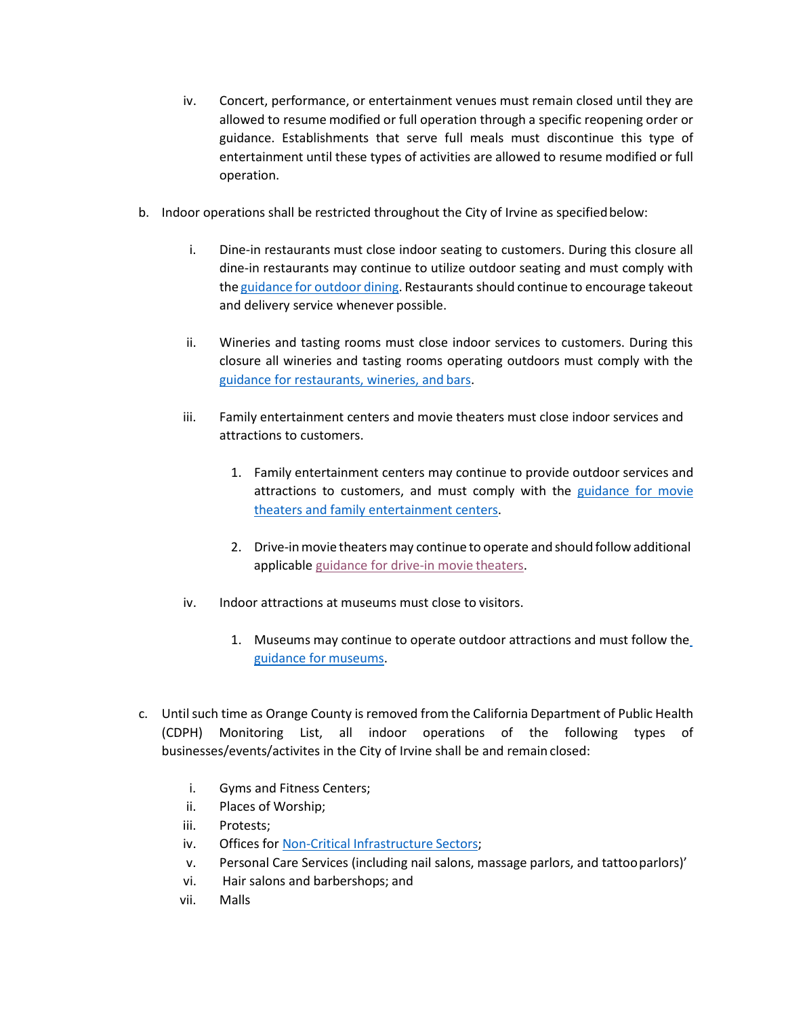- iv. Concert, performance, or entertainment venues must remain closed until they are allowed to resume modified or full operation through a specific reopening order or guidance. Establishments that serve full meals must discontinue this type of entertainment until these types of activities are allowed to resume modified or full operation.
- b. Indoor operations shall be restricted throughout the City of Irvine as specifiedbelow:
	- i. Dine-in restaurants must close indoor seating to customers. During this closure all dine-in restaurants may continue to utilize outdoor seating and must comply with the [guidance](https://files.covid19.ca.gov/pdf/guidance-outdoor-restaurants.pdf) for outdoor dining. Restaurants should continue to encourage takeout and delivery service whenever possible.
	- ii. Wineries and tasting rooms must close indoor services to customers. During this closure all wineries and tasting rooms operating outdoors must comply with the [guidance for restaurants, wineries, and](https://files.covid19.ca.gov/pdf/guidance-restaurants-bars.pdf) bars.
	- iii. Family entertainment centers and movie theaters must close indoor services and attractions to customers.
		- 1. Family entertainment centers may continue to provide outdoor services and attractions to customers, and must comply with the [guidance for movie](https://files.covid19.ca.gov/pdf/guidance-family-entertainment.pdf) [theaters and family entertainment](https://files.covid19.ca.gov/pdf/guidance-family-entertainment.pdf) centers.
		- 2. Drive-inmovie theatersmay continue to operate and should follow additional applicable [guidance for drive-in movie](https://files.covid19.ca.gov/pdf/guidance-family-entertainment.pdf) theaters.
	- iv. Indoor attractions at museums must close to visitors.
		- 1. Museums may continue to operate outdoor attractions and must follow the [guidance for](https://files.covid19.ca.gov/pdf/guidance-zoos-museums.pdf) museums.
- c. Untilsuch time as Orange County is removed from the California Department of Public Health (CDPH) Monitoring List, all indoor operations of the following types of businesses/events/activites in the City of Irvine shall be and remain closed:
	- i. Gyms and Fitness Centers;
	- ii. Places of Worship;
	- iii. Protests;
	- iv. Offices for [Non-Critical Infrastructure](https://covid19.ca.gov/essential-workforce/) Sectors;
	- v. Personal Care Services (including nail salons, massage parlors, and tattooparlors)'
	- vi. Hair salons and barbershops; and
	- vii. Malls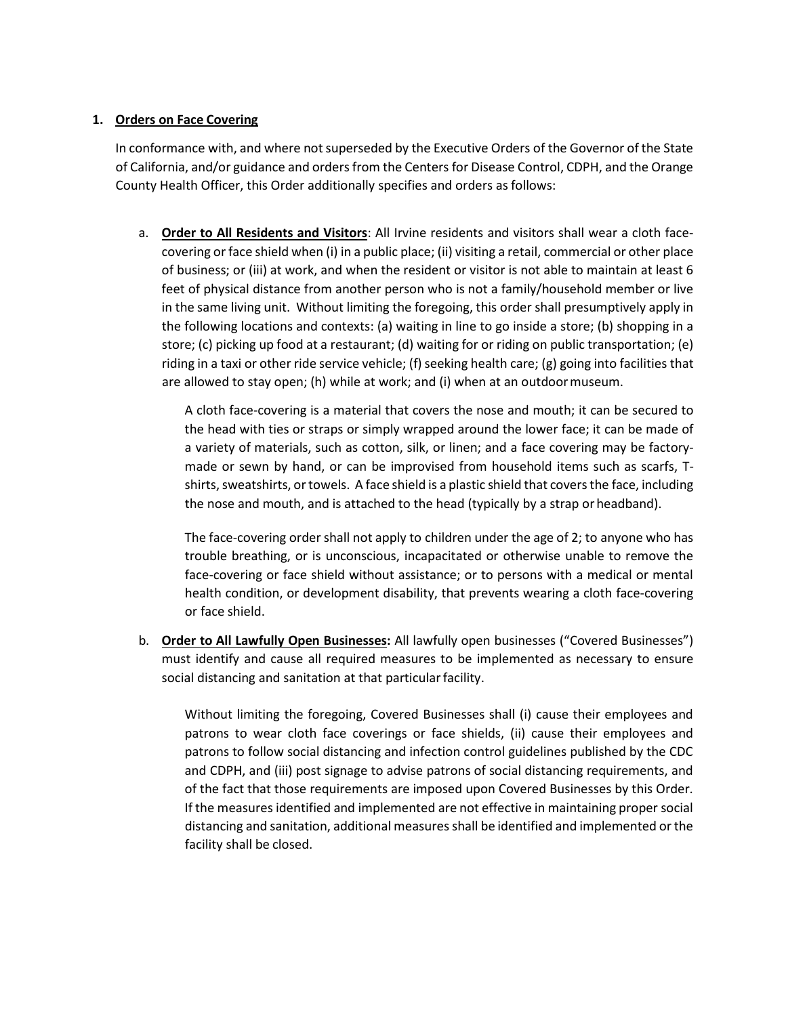## **1. Orders on Face Covering**

In conformance with, and where not superseded by the Executive Orders of the Governor of the State of California, and/or guidance and orders from the Centers for Disease Control, CDPH, and the Orange County Health Officer, this Order additionally specifies and orders asfollows:

a. **Order to All Residents and Visitors**: All Irvine residents and visitors shall wear a cloth facecovering orface shield when (i) in a public place; (ii) visiting a retail, commercial or other place of business; or (iii) at work, and when the resident or visitor is not able to maintain at least 6 feet of physical distance from another person who is not a family/household member or live in the same living unit. Without limiting the foregoing, this order shall presumptively apply in the following locations and contexts: (a) waiting in line to go inside a store; (b) shopping in a store; (c) picking up food at a restaurant; (d) waiting for or riding on public transportation; (e) riding in a taxi or other ride service vehicle; (f) seeking health care; (g) going into facilities that are allowed to stay open; (h) while at work; and (i) when at an outdoormuseum.

A cloth face-covering is a material that covers the nose and mouth; it can be secured to the head with ties or straps or simply wrapped around the lower face; it can be made of a variety of materials, such as cotton, silk, or linen; and a face covering may be factorymade or sewn by hand, or can be improvised from household items such as scarfs, Tshirts, sweatshirts, or towels. A face shield is a plastic shield that covers the face, including the nose and mouth, and is attached to the head (typically by a strap or headband).

The face-covering order shall not apply to children under the age of 2; to anyone who has trouble breathing, or is unconscious, incapacitated or otherwise unable to remove the face-covering or face shield without assistance; or to persons with a medical or mental health condition, or development disability, that prevents wearing a cloth face-covering or face shield.

b. **Order to All Lawfully Open Businesses:** All lawfully open businesses ("Covered Businesses") must identify and cause all required measures to be implemented as necessary to ensure social distancing and sanitation at that particular facility.

Without limiting the foregoing, Covered Businesses shall (i) cause their employees and patrons to wear cloth face coverings or face shields, (ii) cause their employees and patrons to follow social distancing and infection control guidelines published by the CDC and CDPH, and (iii) post signage to advise patrons of social distancing requirements, and of the fact that those requirements are imposed upon Covered Businesses by this Order. If the measures identified and implemented are not effective in maintaining proper social distancing and sanitation, additional measures shall be identified and implemented or the facility shall be closed.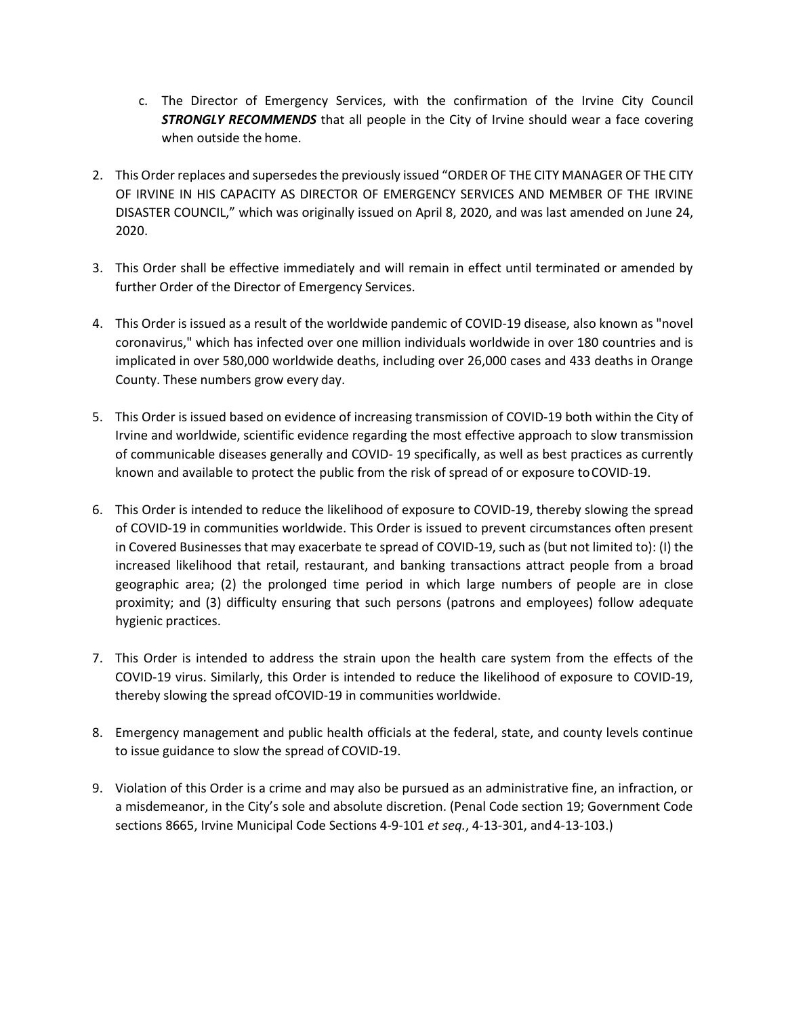- c. The Director of Emergency Services, with the confirmation of the Irvine City Council **STRONGLY RECOMMENDS** that all people in the City of Irvine should wear a face covering when outside the home.
- 2. This Order replaces and supersedes the previously issued "ORDER OF THE CITY MANAGER OF THE CITY OF IRVINE IN HIS CAPACITY AS DIRECTOR OF EMERGENCY SERVICES AND MEMBER OF THE IRVINE DISASTER COUNCIL," which was originally issued on April 8, 2020, and was last amended on June 24, 2020.
- 3. This Order shall be effective immediately and will remain in effect until terminated or amended by further Order of the Director of Emergency Services.
- 4. This Order is issued as a result of the worldwide pandemic of COVID-19 disease, also known as "novel coronavirus," which has infected over one million individuals worldwide in over 180 countries and is implicated in over 580,000 worldwide deaths, including over 26,000 cases and 433 deaths in Orange County. These numbers grow every day.
- 5. This Order is issued based on evidence of increasing transmission of COVID-19 both within the City of Irvine and worldwide, scientific evidence regarding the most effective approach to slow transmission of communicable diseases generally and COVID- 19 specifically, as well as best practices as currently known and available to protect the public from the risk of spread of or exposure toCOVID-19.
- 6. This Order is intended to reduce the likelihood of exposure to COVID-19, thereby slowing the spread of COVID-19 in communities worldwide. This Order is issued to prevent circumstances often present in Covered Businesses that may exacerbate te spread of COVID-19, such as (but not limited to): (I) the increased likelihood that retail, restaurant, and banking transactions attract people from a broad geographic area; (2) the prolonged time period in which large numbers of people are in close proximity; and (3) difficulty ensuring that such persons (patrons and employees) follow adequate hygienic practices.
- 7. This Order is intended to address the strain upon the health care system from the effects of the COVID-19 virus. Similarly, this Order is intended to reduce the likelihood of exposure to COVID-19, thereby slowing the spread ofCOVID-19 in communities worldwide.
- 8. Emergency management and public health officials at the federal, state, and county levels continue to issue guidance to slow the spread of COVID-19.
- 9. Violation of this Order is a crime and may also be pursued as an administrative fine, an infraction, or a misdemeanor, in the City's sole and absolute discretion. (Penal Code section 19; Government Code sections 8665, Irvine Municipal Code Sections 4-9-101 *et seq.*, 4-13-301, and4-13-103.)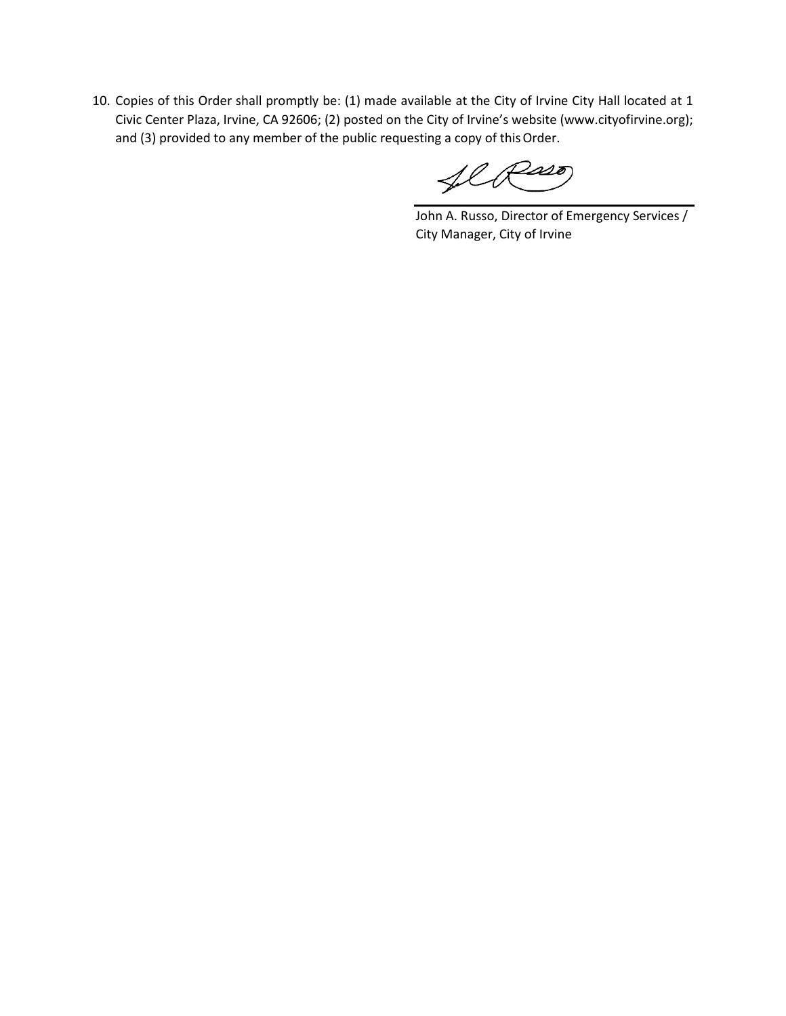10. Copies of this Order shall promptly be: (1) made available at the City of Irvine City Hall located at 1 Civic Center Plaza, Irvine, CA 92606; (2) posted on the City of Irvine's website (www.cityofirvine.org); and (3) provided to any member of the public requesting a copy of this Order.

flR220

John A. Russo, Director of Emergency Services / City Manager, City of Irvine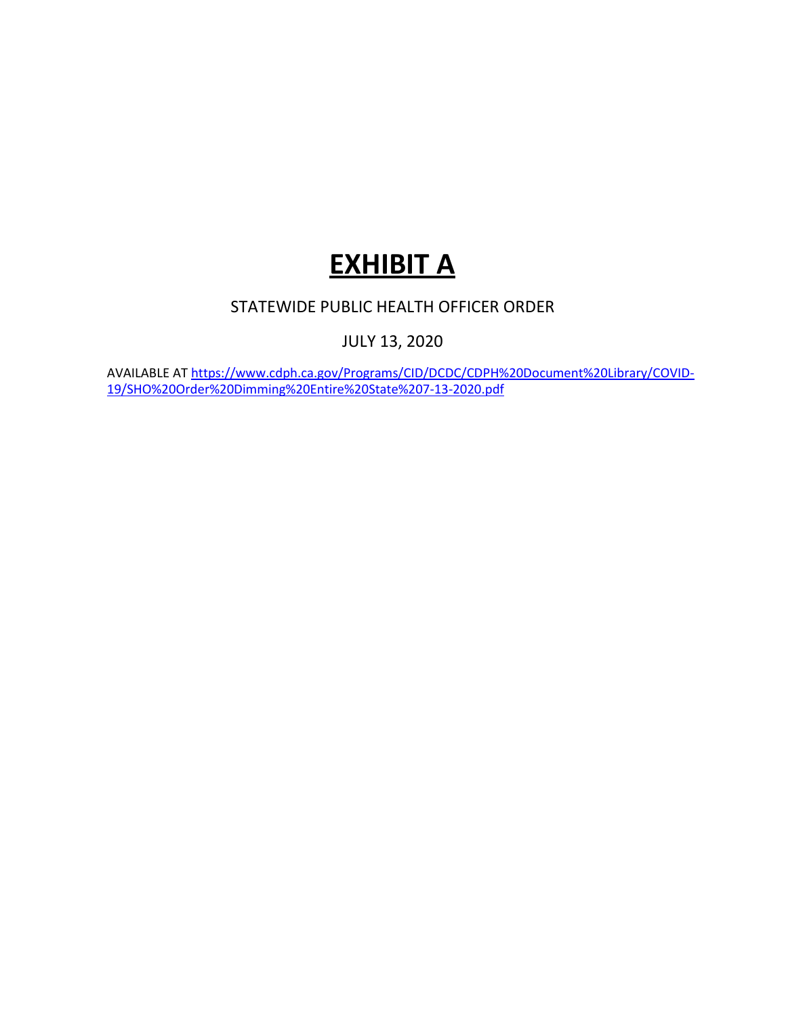# **EXHIBIT A**

# STATEWIDE PUBLIC HEALTH OFFICER ORDER

JULY 13, 2020

AVAILABLE AT [https://www.cdph.ca.gov/Programs/CID/DCDC/CDPH%20Document%20Library/COVID-](https://www.cdph.ca.gov/Programs/CID/DCDC/CDPH%20Document%20Library/COVID-19/SHO%20Order%20Dimming%20Entire%20State%207-13-2020.pdf)[19/SHO%20Order%20Dimming%20Entire%20State%207-13-2020.pdf](https://www.cdph.ca.gov/Programs/CID/DCDC/CDPH%20Document%20Library/COVID-19/SHO%20Order%20Dimming%20Entire%20State%207-13-2020.pdf)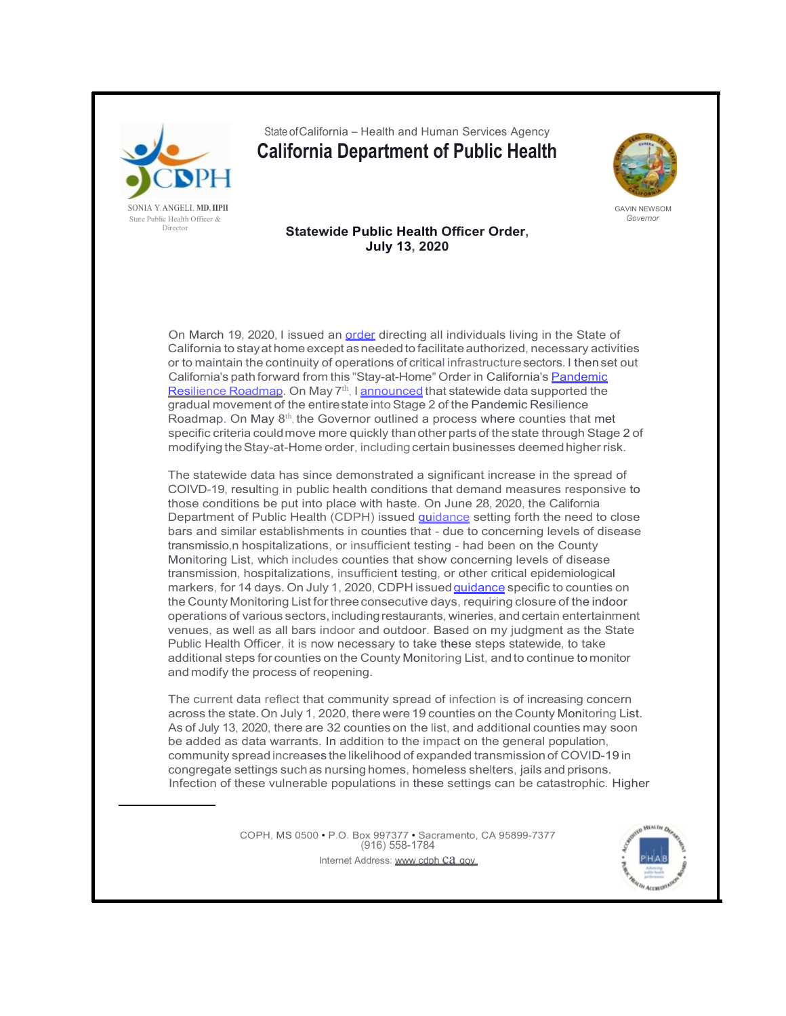

State ofCalifornia – Health and Human Services Agency

**California Department of Public Health**



GAVIN NEWSOM *Governor*

### **Statewide Public Health Officer Order, July 13, 2020**

On March 19, 2020, I issued an order directing all individuals living in the State of California to stayat homeexcept asneededto facilitate authorized, necessary activities or to maintain the continuity of operations of critical infrastructuresectors. I thenset out California's path forward from this "Stay-at-Home" Order in California's Pandemic Resilience Roadmap. On May 7<sup>th</sup>, I announced that statewide data supported the gradual movement of the entire state into Stage 2 of the Pandemic Resilience Roadmap. On May 8th, the Governor outlined a process where counties that met specific criteria couldmove more quickly thanother parts of the state through Stage 2 of modifying the Stay-at-Home order, including certain businesses deemed higher risk.

The statewide data has since demonstrated a significant increase in the spread of COIVD-19, resulting in public health conditions that demand measures responsive to those conditions be put into place with haste. On June 28, 2020, the California Department of Public Health (CDPH) issued *guidance* setting forth the need to close bars and similar establishments in counties that - due to concerning levels of disease transmissio,n hospitalizations, or insufficient testing - had been on the County Monitoring List, which includes counties that show concerning levels of disease transmission, hospitalizations, insufficient testing, or other critical epidemiological markers, for 14 days. On July 1, 2020, CDPH issued *quidance* specific to counties on the County Monitoring List forthree consecutive days, requiring closure of the indoor operations of various sectors,includingrestaurants, wineries, and certain entertainment venues, as well as all bars indoor and outdoor. Based on my judgment as the State Public Health Officer, it is now necessary to take these steps statewide, to take additional steps for counties on the County Monitoring List, andto continue to monitor and modify the process of reopening.

The current data reflect that community spread of infection is of increasing concern across the state.On July 1, 2020, therewere 19 counties on the County Monitoring List. As of July 13, 2020, there are 32 counties on the list, and additional counties may soon be added as data warrants. In addition to the impact on the general population, community spread increases the likelihood of expanded transmission of COVID-19 in congregate settings suchas nursing homes, homeless shelters, jails and prisons. Infection of these vulnerable populations in these settings can be catastrophic. Higher

> COPH, MS 0500 • P.O. Box 997377 • Sacramento, CA 95899-7377 (916) 558-1784 Internet Address: www cdph Ca gov

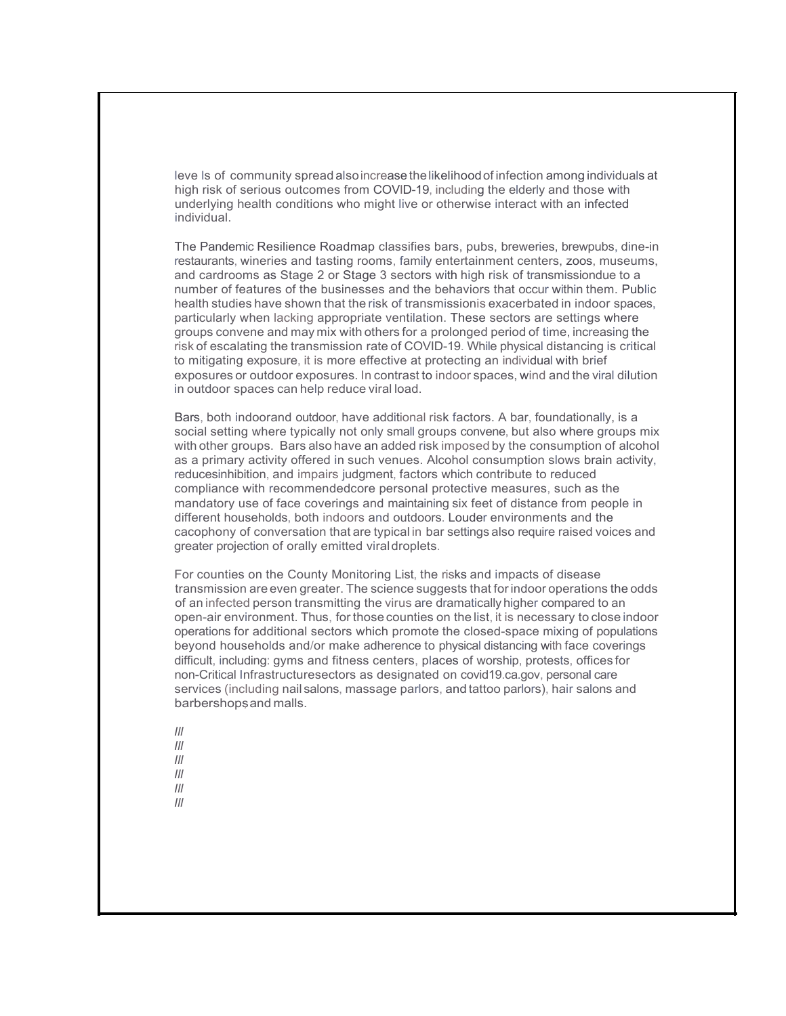leve ls of community spread alsoincrease thelikelihoodof infection among individuals at high risk of serious outcomes from COVID-19, including the elderly and those with underlying health conditions who might live or otherwise interact with an infected individual.

The Pandemic Resilience Roadmap classifies bars, pubs, breweries, brewpubs, dine-in restaurants, wineries and tasting rooms, family entertainment centers, zoos, museums, and cardrooms as Stage 2 or Stage 3 sectors with high risk of transmissiondue to a number of features of the businesses and the behaviors that occur within them. Public health studies have shown that the risk of transmissionis exacerbated in indoor spaces, particularly when lacking appropriate ventilation. These sectors are settings where groups convene and may mix with others for a prolonged period of time, increasing the risk of escalating the transmission rate of COVID-19. While physical distancing is critical to mitigating exposure, it is more effective at protecting an individual with brief exposures or outdoor exposures. In contrast to indoor spaces, wind and the viral dilution in outdoor spaces can help reduce viral load.

Bars, both indoorand outdoor, have additional risk factors. A bar, foundationally, is a social setting where typically not only small groups convene, but also where groups mix with other groups. Bars also have an added risk imposed by the consumption of alcohol as a primary activity offered in such venues. Alcohol consumption slows brain activity, reducesinhibition, and impairs judgment, factors which contribute to reduced compliance with recommendedcore personal protective measures, such as the mandatory use of face coverings and maintaining six feet of distance from people in different households, both indoors and outdoors. Louder environments and the cacophony of conversation that are typical in bar settings also require raised voices and greater projection of orally emitted viraldroplets.

For counties on the County Monitoring List, the risks and impacts of disease transmission are even greater. The science suggests that forindoor operations the odds of an infected person transmitting the virus are dramatically higher compared to an open-air environment. Thus, for those counties on the list, it is necessary to close indoor operations for additional sectors which promote the closed-space mixing of populations beyond households and/or make adherence to physical distancing with face coverings difficult, including: gyms and fitness centers, places of worship, protests, offices for non-Critical Infrastructuresectors as designated on covid19.ca.gov, personal care services (including nail salons, massage parlors, and tattoo parlors), hair salons and barbershops and malls.

*Ill Ill Ill Ill* 

*Ill* 

*Ill*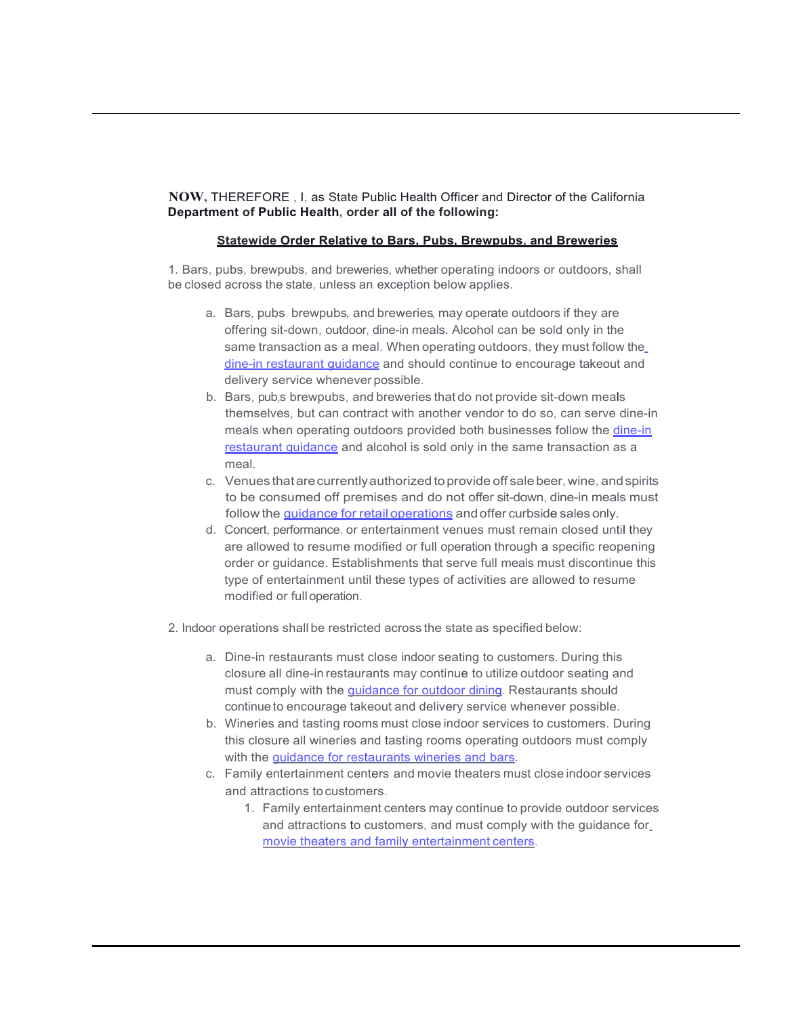**NOW,** THEREFORE , I, as State Public Health Officer and Director of the California **Department of Public Health, order all of the following:**

### **Statewide Order Relative to Bars, Pubs, Brewpubs, and Breweries**

1. Bars, pubs, brewpubs, and breweries, whether operating indoors or outdoors, shall be closed across the state, unless an exception below applies.

- a. Bars, pubs brewpubs, and breweries, may operate outdoors if they are offering sit-down, outdoor, dine-in meals. Alcohol can be sold only in the same transaction as a meal. When operating outdoors, they must follow the dine-in restaurant guidance and should continue to encourage takeout and delivery service whenever possible.
- b. Bars, pub,s brewpubs, and breweries that do not provide sit-down meals themselves, but can contract with another vendor to do so, can serve dine-in meals when operating outdoors provided both businesses follow the dine-in restaurant guidance and alcohol is sold only in the same transaction as a meal.
- c. Venues thatarecurrentlyauthorized toprovide off salebeer, wine, andspirits to be consumed off premises and do not offer sit-down, dine-in meals must follow the *guidance for retail operations* and offer curbside sales only.
- d. Concert, performance. or entertainment venues must remain closed until they are allowed to resume modified or full operation through a specific reopening order or guidance. Establishments that serve full meals must discontinue this type of entertainment until these types of activities are allowed to resume modified or fulloperation.
- 2. Indoor operations shall be restricted across the state as specified below:
	- a. Dine-in restaurants must close indoor seating to customers. During this closure all dine-in restaurants may continue to utilize outdoor seating and must comply with the **quidance for outdoor dining**. Restaurants should continue to encourage takeout and delivery service whenever possible.
	- b. Wineries and tasting rooms must close indoor services to customers. During this closure all wineries and tasting rooms operating outdoors must comply with the **quidance for restaurants wineries and bars**.
	- c. Family entertainment centers and movie theaters must close indoor services and attractions to customers.
		- 1. Family entertainment centers may continue to provide outdoor services and attractions to customers, and must comply with the guidance for movie theaters and family entertainment centers.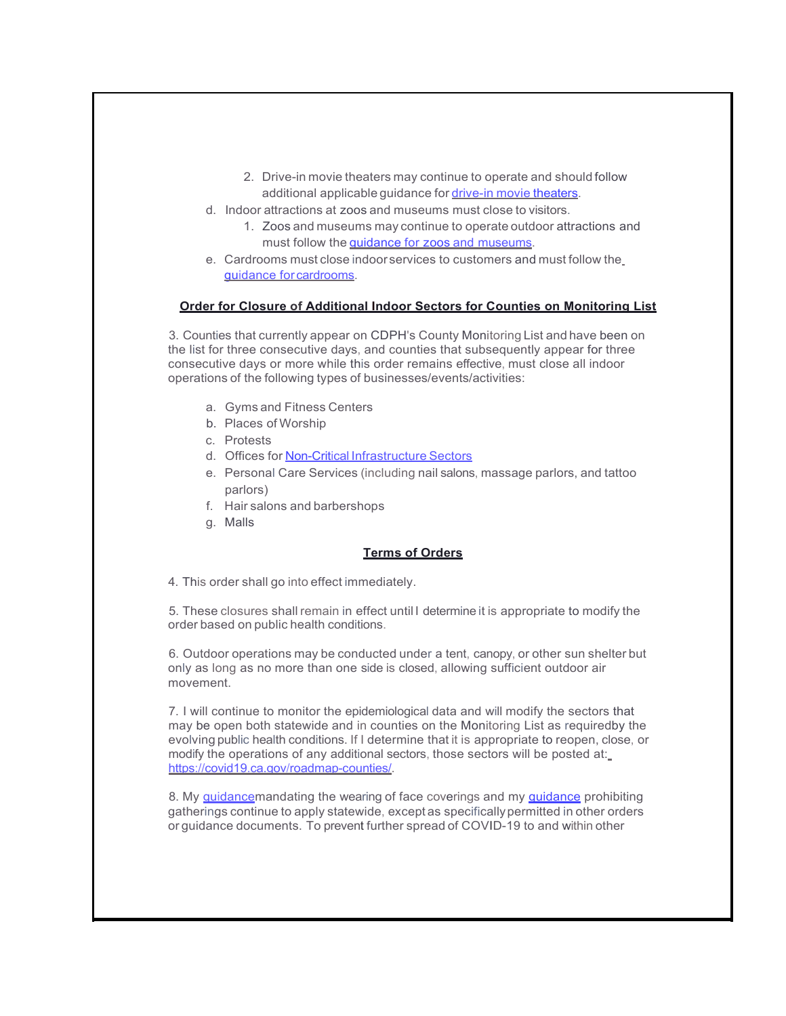- 2. Drive-in movie theaters may continue to operate and should follow additional applicable guidance for drive-in movie theaters.
- d. Indoor attractions at zoos and museums must close to visitors.
	- 1. Zoos and museums may continue to operate outdoor attractions and must follow the guidance for zoos and museums.
- e. Cardrooms must close indoorservices to customers and must follow the guidance forcardrooms.

### **Order for Closure of Additional Indoor Sectors for Counties on Monitoring List**

3. Counties that currently appear on CDPH's County Monitoring List and have been on the list for three consecutive days, and counties that subsequently appear for three consecutive days or more while this order remains effective, must close all indoor operations of the following types of businesses/events/activities:

- a. Gyms and Fitness Centers
- b. Places of Worship
- c. Protests
- d. Offices for Non-Critical Infrastructure Sectors
- e. Personal Care Services (including nail salons, massage parlors, and tattoo parlors)
- f. Hair salons and barbershops
- g. Malls

### **Terms of Orders**

4. This order shall go into effect immediately.

5. These closures shall remain in effect until I determine it is appropriate to modify the order based on public health conditions.

6. Outdoor operations may be conducted under a tent, canopy, or other sun shelter but only as long as no more than one side is closed, allowing sufficient outdoor air movement.

7. I will continue to monitor the epidemiological data and will modify the sectors that may be open both statewide and in counties on the Monitoring List as requiredby the evolving public health conditions. If I determine that it is appropriate to reopen, close, or modify the operations of any additional sectors, those sectors will be posted at: https://covid19.ca.gov/roadmap-counties/.

8. My **quidancemandating the wearing of face coverings and my quidance prohibiting** gatherings continue to apply statewide, except as specificallypermitted in other orders or guidance documents. To prevent further spread of COVID-19 to and within other